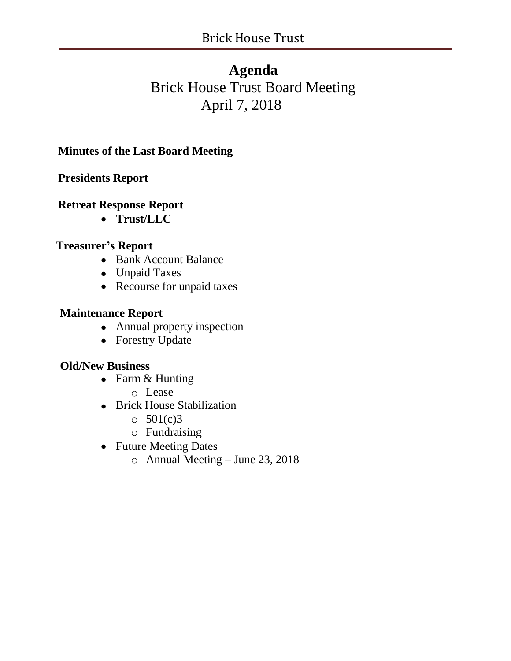## **Agenda**

# Brick House Trust Board Meeting April 7, 2018

**Minutes of the Last Board Meeting**

**Presidents Report**

## **Retreat Response Report**

**Trust/LLC**

## **Treasurer's Report**

- Bank Account Balance
- Unpaid Taxes
- Recourse for unpaid taxes

## **Maintenance Report**

- Annual property inspection
- Forestry Update

## **Old/New Business**

- Farm & Hunting
	- o Lease
- Brick House Stabilization
	- $\circ$  501(c)3
	- o Fundraising
- Future Meeting Dates
	- o Annual Meeting June 23, 2018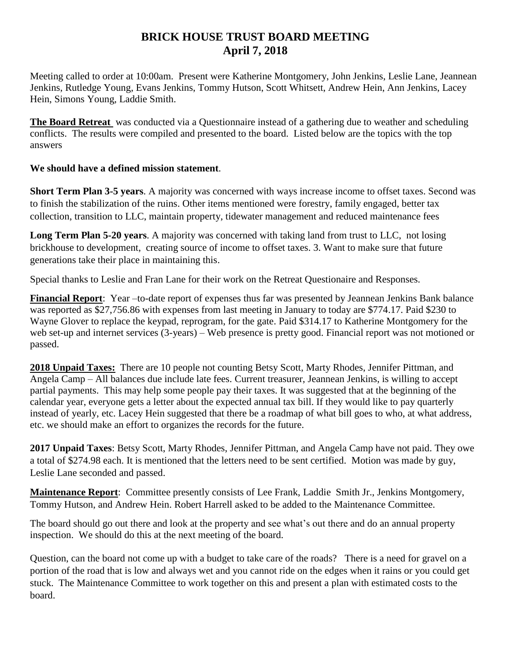#### **BRICK HOUSE TRUST BOARD MEETING April 7, 2018**

Meeting called to order at 10:00am. Present were Katherine Montgomery, John Jenkins, Leslie Lane, Jeannean Jenkins, Rutledge Young, Evans Jenkins, Tommy Hutson, Scott Whitsett, Andrew Hein, Ann Jenkins, Lacey Hein, Simons Young, Laddie Smith.

**The Board Retreat** was conducted via a Questionnaire instead of a gathering due to weather and scheduling conflicts. The results were compiled and presented to the board. Listed below are the topics with the top answers

#### **We should have a defined mission statement**.

**Short Term Plan 3-5 years**. A majority was concerned with ways increase income to offset taxes. Second was to finish the stabilization of the ruins. Other items mentioned were forestry, family engaged, better tax collection, transition to LLC, maintain property, tidewater management and reduced maintenance fees

**Long Term Plan 5-20 years**. A majority was concerned with taking land from trust to LLC, not losing brickhouse to development, creating source of income to offset taxes. 3. Want to make sure that future generations take their place in maintaining this.

Special thanks to Leslie and Fran Lane for their work on the Retreat Questionaire and Responses.

**Financial Report**: Year –to-date report of expenses thus far was presented by Jeannean Jenkins Bank balance was reported as \$27,756.86 with expenses from last meeting in January to today are \$774.17. Paid \$230 to Wayne Glover to replace the keypad, reprogram, for the gate. Paid \$314.17 to Katherine Montgomery for the web set-up and internet services (3-years) – Web presence is pretty good. Financial report was not motioned or passed.

**2018 Unpaid Taxes:** There are 10 people not counting Betsy Scott, Marty Rhodes, Jennifer Pittman, and Angela Camp – All balances due include late fees. Current treasurer, Jeannean Jenkins, is willing to accept partial payments. This may help some people pay their taxes. It was suggested that at the beginning of the calendar year, everyone gets a letter about the expected annual tax bill. If they would like to pay quarterly instead of yearly, etc. Lacey Hein suggested that there be a roadmap of what bill goes to who, at what address, etc. we should make an effort to organizes the records for the future.

**2017 Unpaid Taxes**: Betsy Scott, Marty Rhodes, Jennifer Pittman, and Angela Camp have not paid. They owe a total of \$274.98 each. It is mentioned that the letters need to be sent certified. Motion was made by guy, Leslie Lane seconded and passed.

**Maintenance Report**: Committee presently consists of Lee Frank, Laddie Smith Jr., Jenkins Montgomery, Tommy Hutson, and Andrew Hein. Robert Harrell asked to be added to the Maintenance Committee.

The board should go out there and look at the property and see what's out there and do an annual property inspection. We should do this at the next meeting of the board.

Question, can the board not come up with a budget to take care of the roads? There is a need for gravel on a portion of the road that is low and always wet and you cannot ride on the edges when it rains or you could get stuck. The Maintenance Committee to work together on this and present a plan with estimated costs to the board.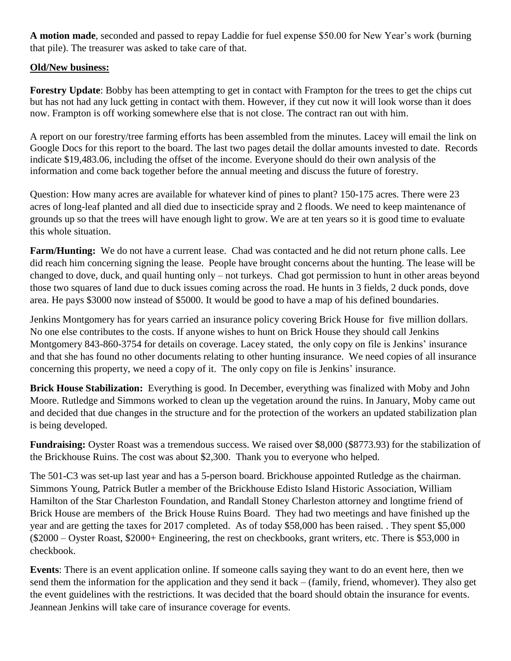**A motion made**, seconded and passed to repay Laddie for fuel expense \$50.00 for New Year's work (burning that pile). The treasurer was asked to take care of that.

#### **Old/New business:**

**Forestry Update**: Bobby has been attempting to get in contact with Frampton for the trees to get the chips cut but has not had any luck getting in contact with them. However, if they cut now it will look worse than it does now. Frampton is off working somewhere else that is not close. The contract ran out with him.

A report on our forestry/tree farming efforts has been assembled from the minutes. Lacey will email the link on Google Docs for this report to the board. The last two pages detail the dollar amounts invested to date. Records indicate \$19,483.06, including the offset of the income. Everyone should do their own analysis of the information and come back together before the annual meeting and discuss the future of forestry.

Question: How many acres are available for whatever kind of pines to plant? 150-175 acres. There were 23 acres of long-leaf planted and all died due to insecticide spray and 2 floods. We need to keep maintenance of grounds up so that the trees will have enough light to grow. We are at ten years so it is good time to evaluate this whole situation.

**Farm/Hunting:** We do not have a current lease. Chad was contacted and he did not return phone calls. Lee did reach him concerning signing the lease. People have brought concerns about the hunting. The lease will be changed to dove, duck, and quail hunting only – not turkeys. Chad got permission to hunt in other areas beyond those two squares of land due to duck issues coming across the road. He hunts in 3 fields, 2 duck ponds, dove area. He pays \$3000 now instead of \$5000. It would be good to have a map of his defined boundaries.

Jenkins Montgomery has for years carried an insurance policy covering Brick House for five million dollars. No one else contributes to the costs. If anyone wishes to hunt on Brick House they should call Jenkins Montgomery 843-860-3754 for details on coverage. Lacey stated, the only copy on file is Jenkins' insurance and that she has found no other documents relating to other hunting insurance. We need copies of all insurance concerning this property, we need a copy of it. The only copy on file is Jenkins' insurance.

**Brick House Stabilization:** Everything is good. In December, everything was finalized with Moby and John Moore. Rutledge and Simmons worked to clean up the vegetation around the ruins. In January, Moby came out and decided that due changes in the structure and for the protection of the workers an updated stabilization plan is being developed.

**Fundraising:** Oyster Roast was a tremendous success. We raised over \$8,000 (\$8773.93) for the stabilization of the Brickhouse Ruins. The cost was about \$2,300. Thank you to everyone who helped.

The 501-C3 was set-up last year and has a 5-person board. Brickhouse appointed Rutledge as the chairman. Simmons Young, Patrick Butler a member of the Brickhouse Edisto Island Historic Association, William Hamilton of the Star Charleston Foundation, and Randall Stoney Charleston attorney and longtime friend of Brick House are members of the Brick House Ruins Board. They had two meetings and have finished up the year and are getting the taxes for 2017 completed. As of today \$58,000 has been raised. . They spent \$5,000 (\$2000 – Oyster Roast, \$2000+ Engineering, the rest on checkbooks, grant writers, etc. There is \$53,000 in checkbook.

**Events**: There is an event application online. If someone calls saying they want to do an event here, then we send them the information for the application and they send it back – (family, friend, whomever). They also get the event guidelines with the restrictions. It was decided that the board should obtain the insurance for events. Jeannean Jenkins will take care of insurance coverage for events.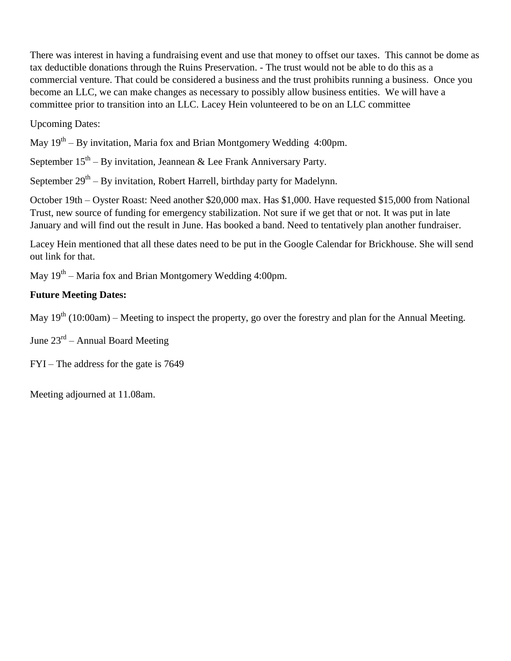There was interest in having a fundraising event and use that money to offset our taxes. This cannot be dome as tax deductible donations through the Ruins Preservation. - The trust would not be able to do this as a commercial venture. That could be considered a business and the trust prohibits running a business. Once you become an LLC, we can make changes as necessary to possibly allow business entities. We will have a committee prior to transition into an LLC. Lacey Hein volunteered to be on an LLC committee

Upcoming Dates:

May 19<sup>th</sup> – By invitation, Maria fox and Brian Montgomery Wedding 4:00pm.

September  $15<sup>th</sup> - By initiation, Jeannean & Lee Frank Anniversity.$ 

September  $29^{th}$  – By invitation, Robert Harrell, birthday party for Madelynn.

October 19th – Oyster Roast: Need another \$20,000 max. Has \$1,000. Have requested \$15,000 from National Trust, new source of funding for emergency stabilization. Not sure if we get that or not. It was put in late January and will find out the result in June. Has booked a band. Need to tentatively plan another fundraiser.

Lacey Hein mentioned that all these dates need to be put in the Google Calendar for Brickhouse. She will send out link for that.

May 19<sup>th</sup> – Maria fox and Brian Montgomery Wedding 4:00pm.

#### **Future Meeting Dates:**

May  $19<sup>th</sup> (10:00am)$  – Meeting to inspect the property, go over the forestry and plan for the Annual Meeting.

June 23<sup>rd</sup> – Annual Board Meeting

FYI – The address for the gate is 7649

Meeting adjourned at 11.08am.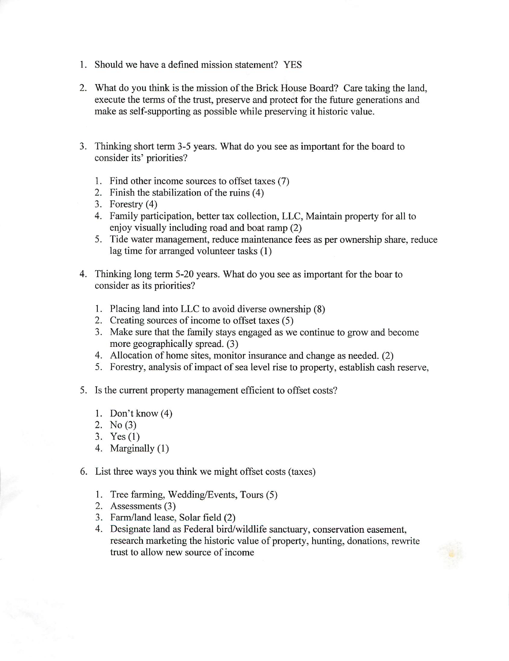- 1. Should we have a defined mission statement? YES
- 2. What do you think is the mission of the Brick House Board? Care taking the land, execute the terms of the trust, preserve and protect for the future generations and make as self-supporting as possible while preserving it historic value.
- 3. Thinking short term 3-5 years. What do you see as important for the board to consider its' priorities?
	- 1. Find other income sources to offset taxes (7)
	- 2. Finish the stabilization of the ruins (4)
	- 3. Forestry  $(4)$
	- 4. Family participation, better tax collection, LLC, Maintain property for all to enjoy visually including road and boat ramp (2)
	- 5. Tide water management, reduce maintenance fees as per ownership share, reduce lag time for arranged volunteer tasks (1)
- 4. Thinking long term 5-20 years. What do you see as important for the boar to consider as its priorities?
	- 1. Placing land into LLC to avoid diverse ownership (8)
	- 2. Creating sources of income to offset taxes (5)
	- 3. Make sure that the family stays engaged as we continue to grow and become more geographically spread. (3)
	- 4. Allocation of home sites, monitor insurance and change as needed. (2)
	- 5. Forestry, analysis of impact of sea level rise to property, establish cash reserve,
- 5. Is the current property management efficient to offset costs?
	- 1. Don't know  $(4)$
	- 2. No  $(3)$
	- 3. Yes  $(1)$
	- 4. Marginally (1)
- 6. List three ways you think we might offset costs (taxes)
	- 1. Tree farming, Wedding/Events, Tours (5)
	- 2. Assessments (3)
	- 3. Farm/land lease, Solar field (2)
	- 4. Designate land as Federal bird/wildlife sanctuary, conservation easement, research marketing the historic value of property, hunting, donations, rewrite trust to allow new source of income